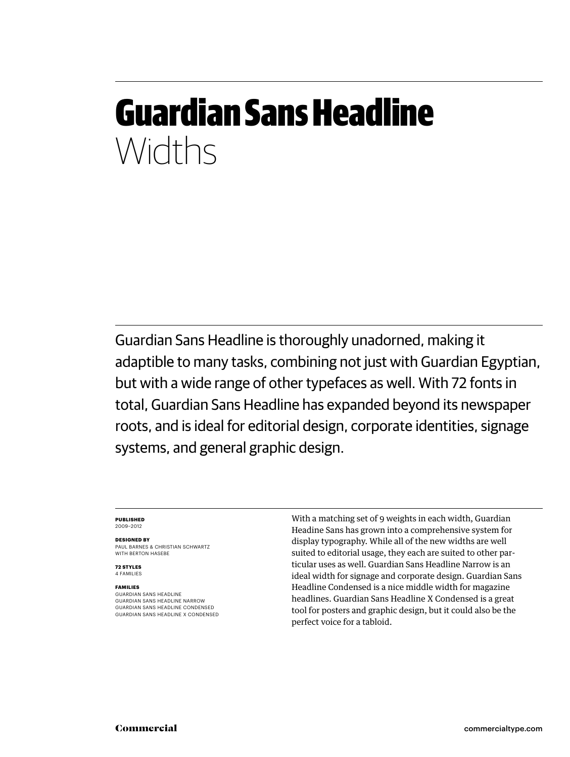# Guardian Sans Headline Widths

Guardian Sans Headline is thoroughly unadorned, making it adaptible to many tasks, combining not just with Guardian Egyptian, but with a wide range of other typefaces as well. With 72 fonts in total, Guardian Sans Headline has expanded beyond its newspaper roots, and is ideal for editorial design, corporate identities, signage systems, and general graphic design.

#### **Published** 2009–2012

**Designed by**

Paul Barnes & Christian Schwartz WITH BERTON HASEBE

**72 styles** 4 families

### **families**

guardian sans headline guardian sans headline narrow guardian sans headline condensed guardian sans headline x condensed With a matching set of 9 weights in each width, Guardian Headine Sans has grown into a comprehensive system for display typography. While all of the new widths are well suited to editorial usage, they each are suited to other particular uses as well. Guardian Sans Headline Narrow is an ideal width for signage and corporate design. Guardian Sans Headline Condensed is a nice middle width for magazine headlines. Guardian Sans Headline X Condensed is a great tool for posters and graphic design, but it could also be the perfect voice for a tabloid.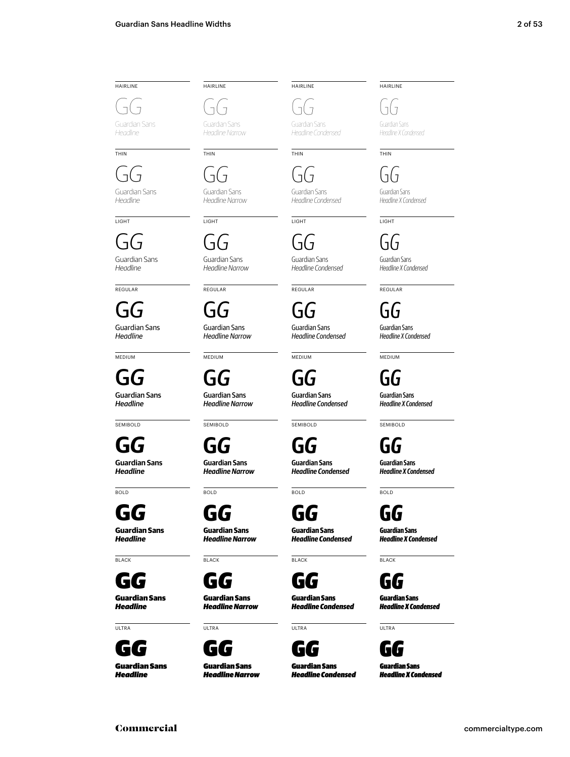## **HAIRLINE**

G*G* Guardian Sans

*Headline*

G*G*

thin

Guardian Sans *Headline*

**LIGHT** 

G*G* Guardian Sans *Headline*

REGUI AR

G*G* Guardian Sans *Headline*

**MEDIUM** 

Guardian Sans G*G*

*Headline*

**SEMIBOLD** 

**G***G* **Guardian Sans** *Headline*

**BOLD** 

**G***G* **Guardian Sans**

*Headline*

**BLACK** 

G*G* Guardian Sans *Headline*

ultra



**HAIRLINE** 

thin

light

G*G* Guardian Sans *Headline Narrow*

regular

G*G* Guardian Sans *Headline Narrow*

**MEDIUM** 

G*G*

G*G* Guardian Sans *Headline Narrow*

Guardian Sans *Headline Narrow*

**SEMIBOLD** 

**G***G* **Guardian Sans** *Headline Narrow*

**BOLD** 

**BLACK** 

ultra

G*G* Guardian Sans *Headline Narrow*

G*G* Guardian Sans *Headline Narrow*

**G***G* **Guardian Sans** *Headline Narrow*

G*G* Guardian Sans *Headline Narrow*



**HAIRLINE** 

*Headline Condensed*

thin

G*G* Guardian Sans *Headline Condensed*

**LIGHT** G*G*

Guardian Sans *Headline Condensed*

regular

G*G* Guardian Sans *Headline Condensed*

**MEDIUM** 

Guardian Sans *Headline Condensed* G*G*

**SEMIBOLD** 

**G***G* **Guardian Sans** *Headline Condensed*

## **BOLD**

**G***G* **Guardian Sans**

**BLACK** 

*Headline Condensed*

G*G*

Guardian Sans *Headline Condensed*



ultra

Guardian Sans *Headline Condensed* **HAIRLINE** 

G*G* Guardian Sans

*Headline X Condensed*

**THIN** 

G*G* Guardian Sans *Headline X Condensed*

G*G*

**LIGHT** 

Guardian Sans *Headline X Condensed*

regular

G*G* Guardian Sans *Headline X Condensed*

> **MEDIUM** G*G*

Guardian Sans *Headline X Condensed*

**SEMIBOLD** 

**G***G* **Guardian Sans**

*Headline X Condensed*

## **G***G*

**BOLD** 

*Headline X Condensed*

G*G* Guardian Sans

*Headline X Condensed*

Guardian Sans *Headline X Condensed*

**BLACK** 

**Guardian Sans**





ultra

## G*G*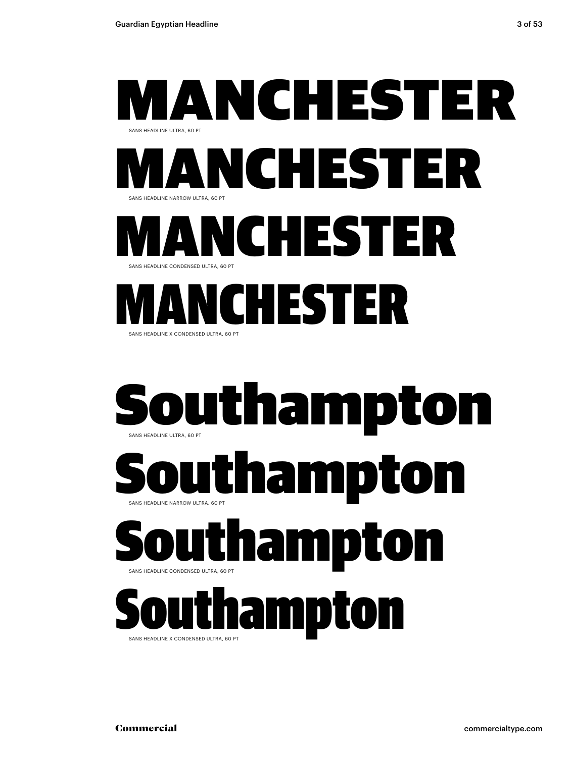





Southampton sans headline condensed ultra, 60 pt

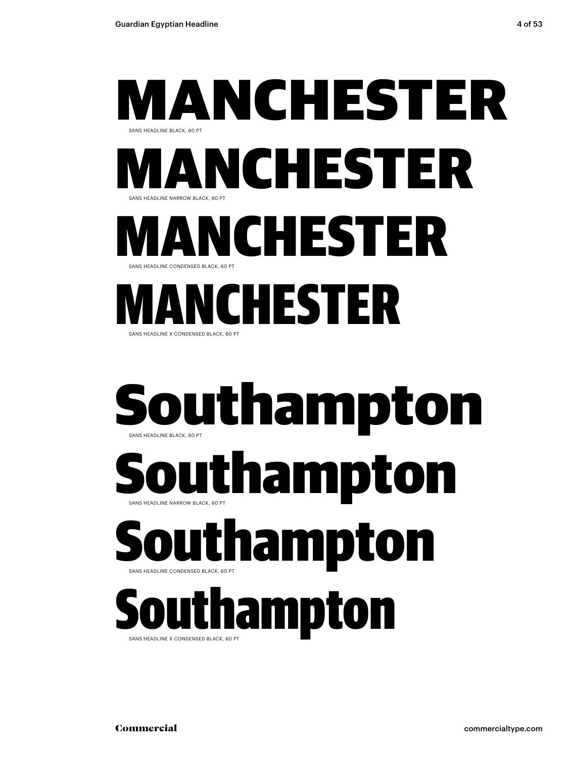



## Southampton sans headline condensed black, 60 pt

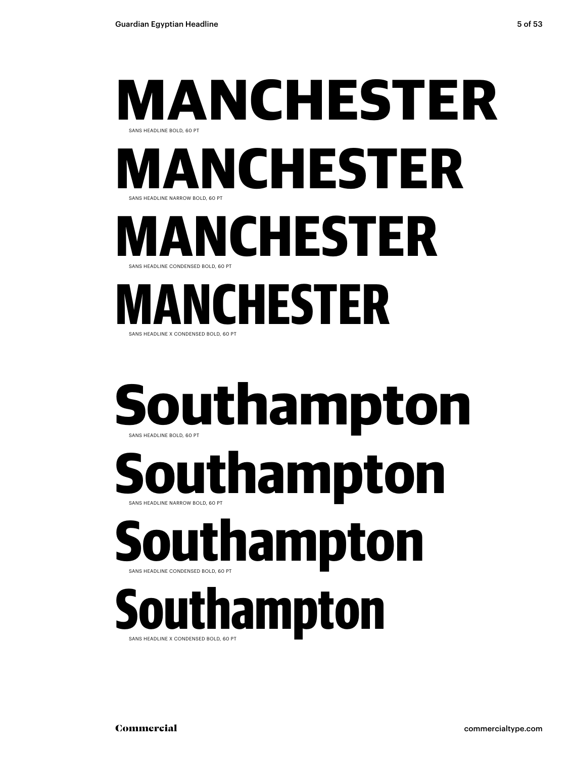**INS HEADLINE X CONDENSED BOLD, 60 PT** 



**Southampton** SANS HEADLINE NARROW BOLD, 60 PT sans headline bold, 60 pt **Southampton**

**Southampton** sans headline condensed bold, 60 pt

sans headline x condensed bold, 60 pt **Southampton**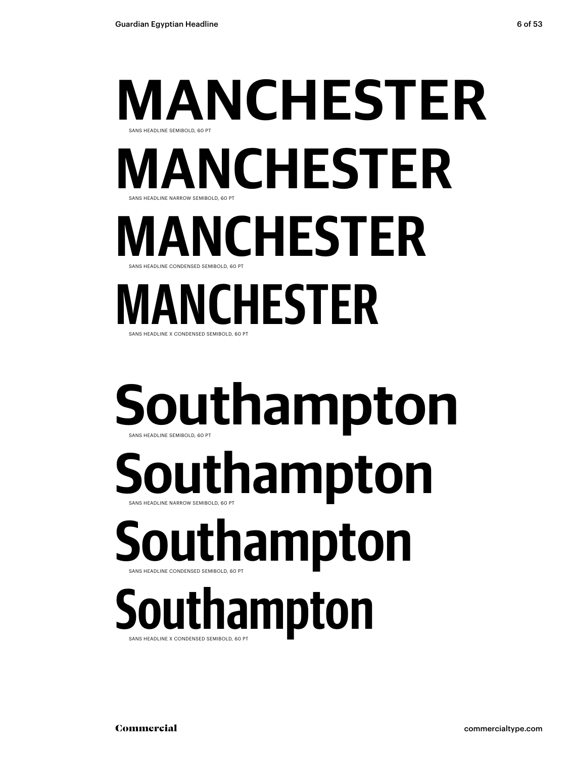# **manchester** sans headline narrow semibold, 60 pt sans headline semibold, 60 pt **manchester manchester**

sans headline condensed semibold, 60 pt

## sans headline x condensed semibold, 60 pt **manchester**

# **Southampton** sans headline semibold, 60 pt

sans headline narrow semibold, 60 pt **Southampton**

**Southampton** sans headline condensed semibold, 60 pt

sans headline x condensed semibold, 60 pt **Southampton**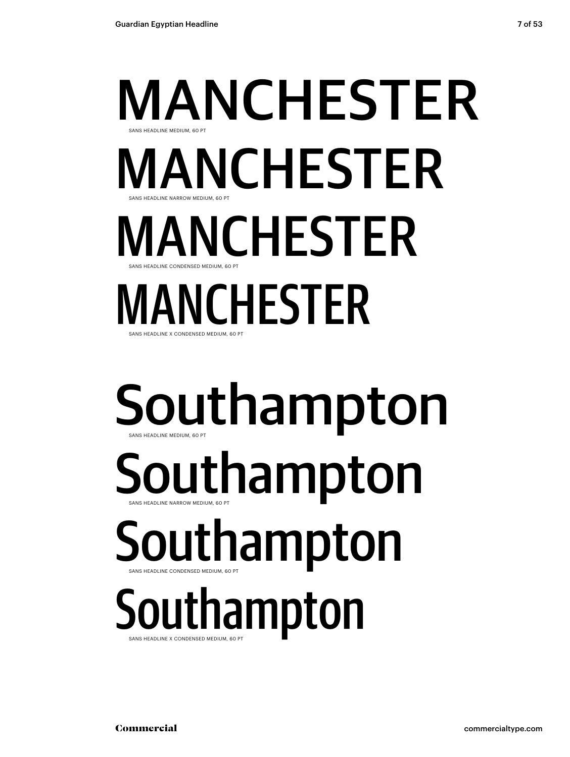sans headline x condensed medium, 60 pt

# manchester sans headline narrow medium, 60 pt sans headline medium, 60 pt manchester **MANCHESTER** sans headline condensed medium, 60 pt manchester

# Southampton sans headline medium, 60 pt

sans headline narrow medium, 60 pt Southampton

## Southampton sans headline condensed medium, 60 pt

## sans headline x condensed medium, 60 pt Southampton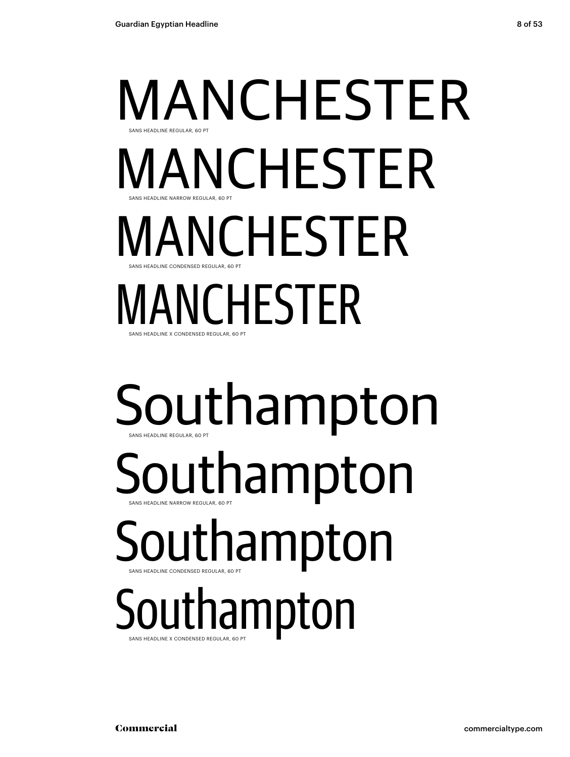sans headline x condensed regular, 60 pt

# manchester sans headline narrow regular, 60 pt sans headline regular, 60 pt **MANCHESTER** manchester sans headline condensed regular, 60 pt manchester

Southampton sans headline regular, 60 pt

sans headline narrow regular, 60 pt Southampton

Southampton sans headline condensed regular, 60 pt

sans headline x condensed regular, 60 pt Southampton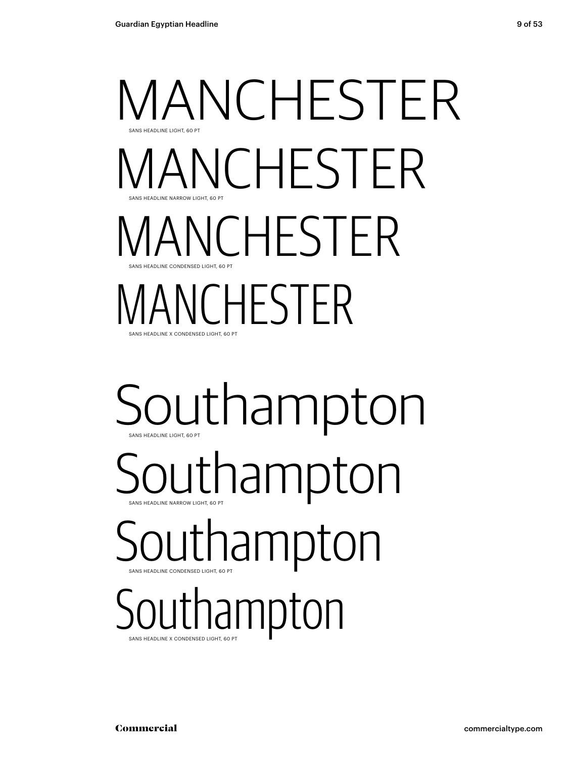# manchester sans headline narrow light, 60 pt sans headline light, 60 pt manchester manchester sans headline condensed light, 60 pt manchester

**SANS HEADLINE X CONDENSED LIGHT, 60 PT** 

# Southampton sans headline light, 60 pt

Southampton

## Southampton sans headline condensed light, 60 pt

sans headline x condensed light, 60 pt Southampton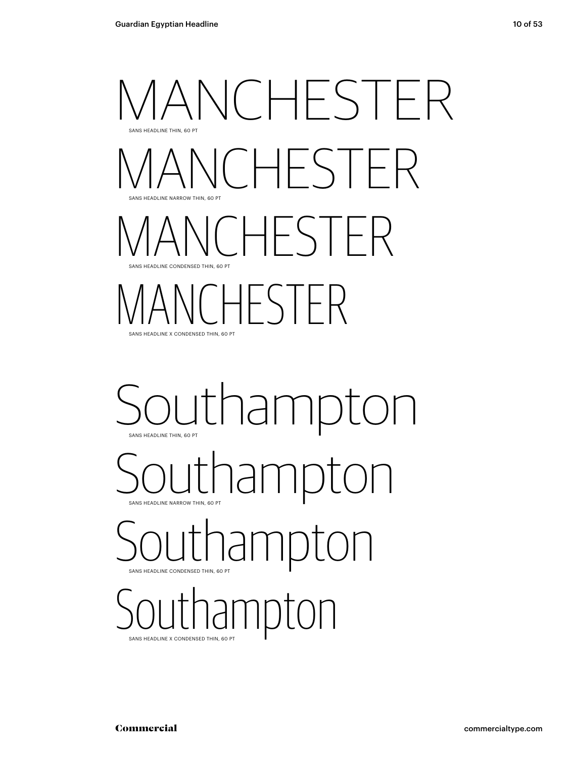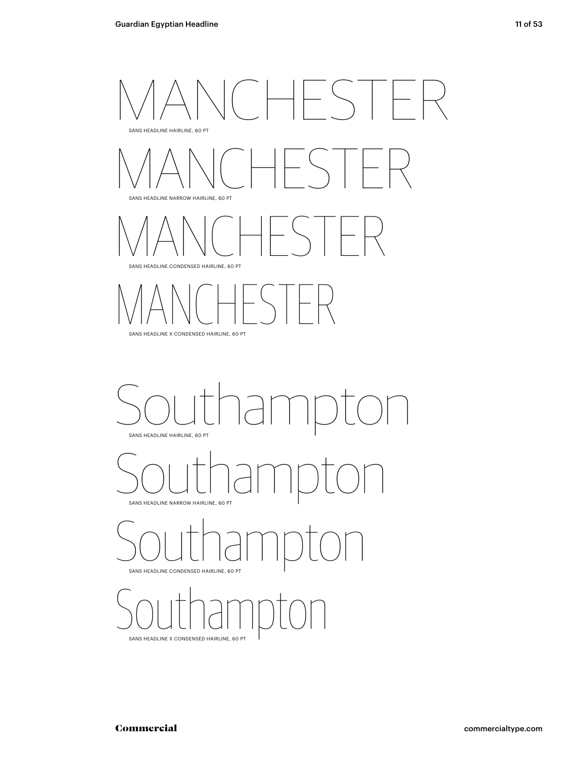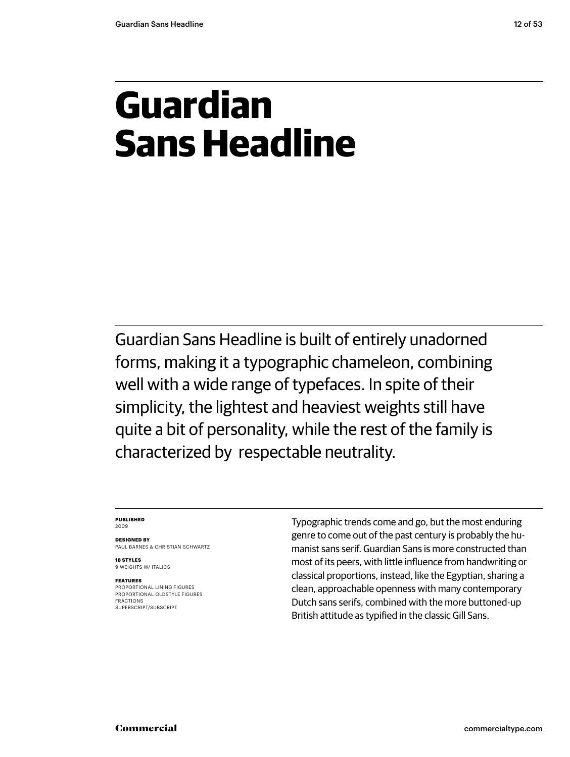# **Guardian Sans Headline**

Guardian Sans Headline is built of entirely unadorned forms, making it a typographic chameleon, combining well with a wide range of typefaces. In spite of their simplicity, the lightest and heaviest weights still have quite a bit of personality, while the rest of the family is characterized by respectable neutrality.

#### **Published** 2009

**Designed by** Paul Barnes & Christian Schwartz

**18 styles** 9 WEIGHTS W/ ITALICS

### **Features**

proportional lining figures proportional oldstyle figures fractions superscript/subscript

Typographic trends come and go, but the most enduring genre to come out of the past century is probably the humanist sans serif. Guardian Sans is more constructed than most of its peers, with little influence from handwriting or classical proportions, instead, like the Egyptian, sharing a clean, approachable openness with many contemporary Dutch sans serifs, combined with the more buttoned-up British attitude as typified in the classic Gill Sans.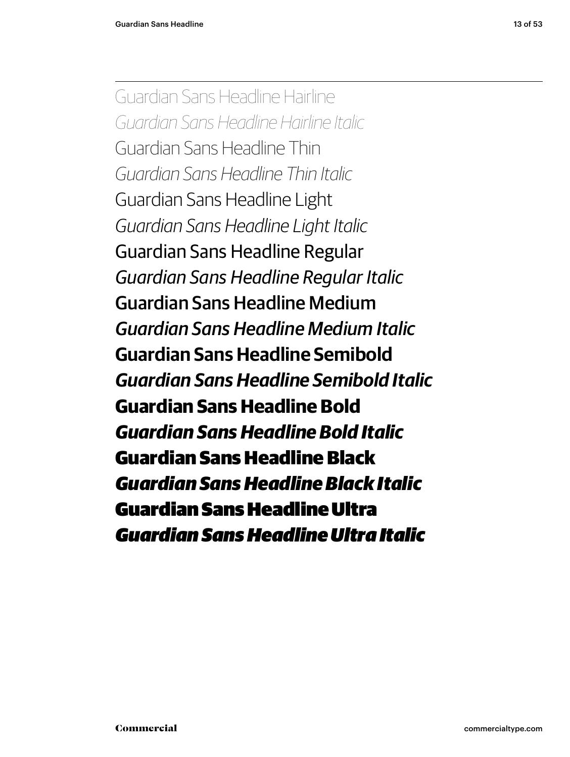Guardian Sans Headline Hairline *Guardian Sans Headline Hairline Italic* Guardian Sans Headline Thin *Guardian Sans Headline Thin Italic* Guardian Sans Headline Light *Guardian Sans Headline Light Italic* Guardian Sans Headline Regular *Guardian Sans Headline Regular Italic* Guardian Sans Headline Medium *Guardian Sans Headline Medium Italic* **Guardian Sans Headline Semibold** *Guardian Sans Headline Semibold Italic* **Guardian Sans Headline Bold** *Guardian Sans Headline Bold Italic* Guardian Sans Headline Black *Guardian Sans Headline Black Italic* Guardian Sans Headline Ultra *Guardian Sans Headline Ultra Italic*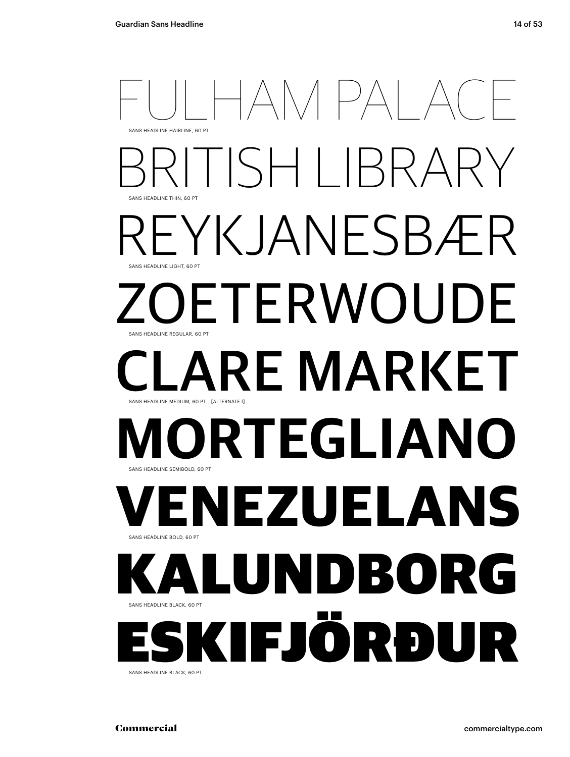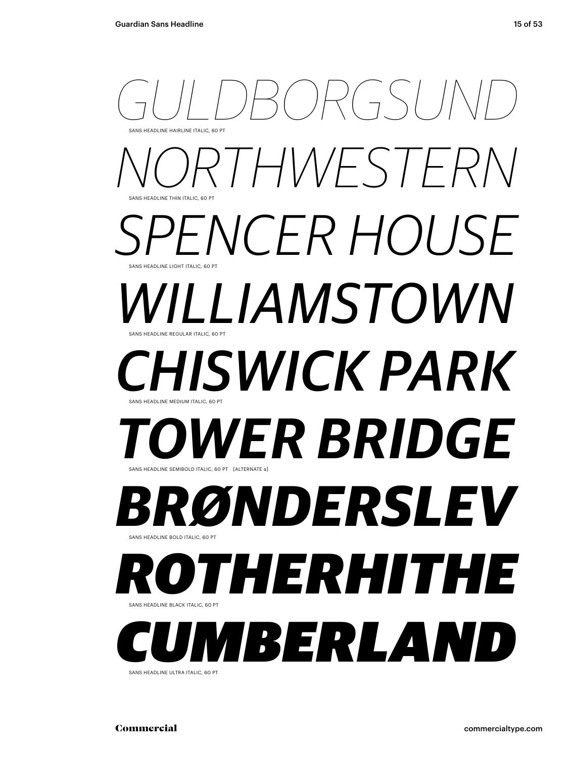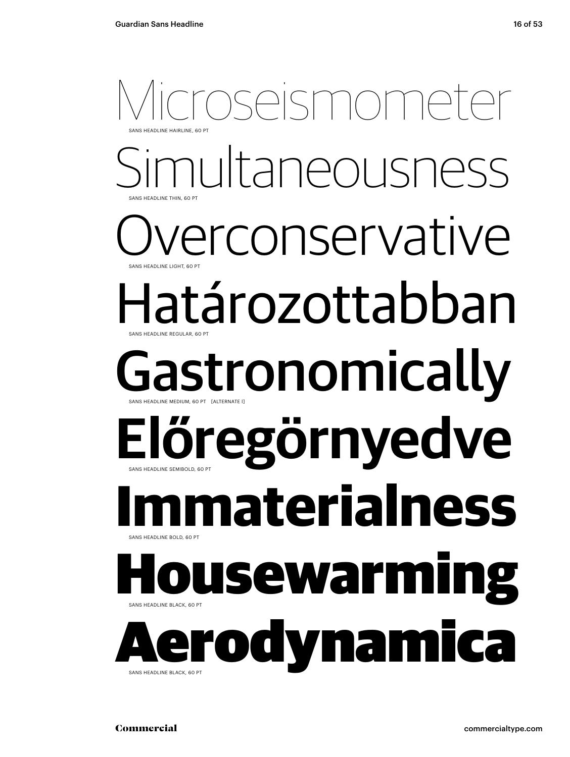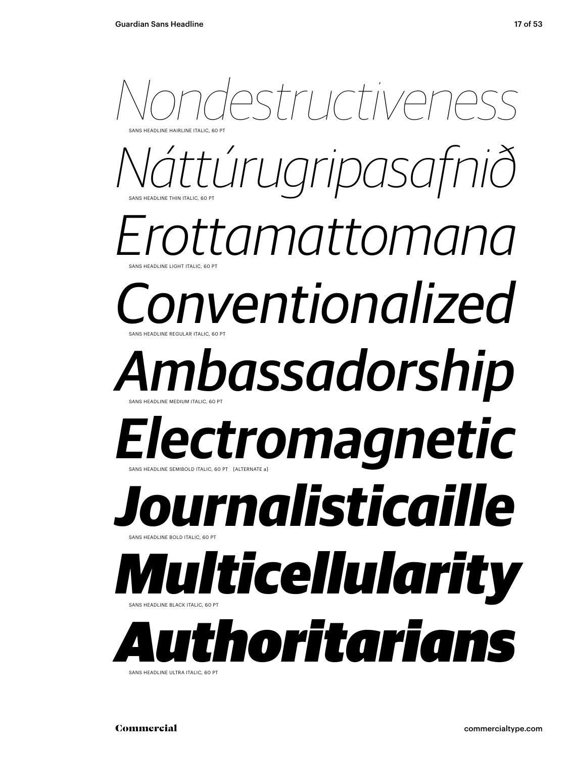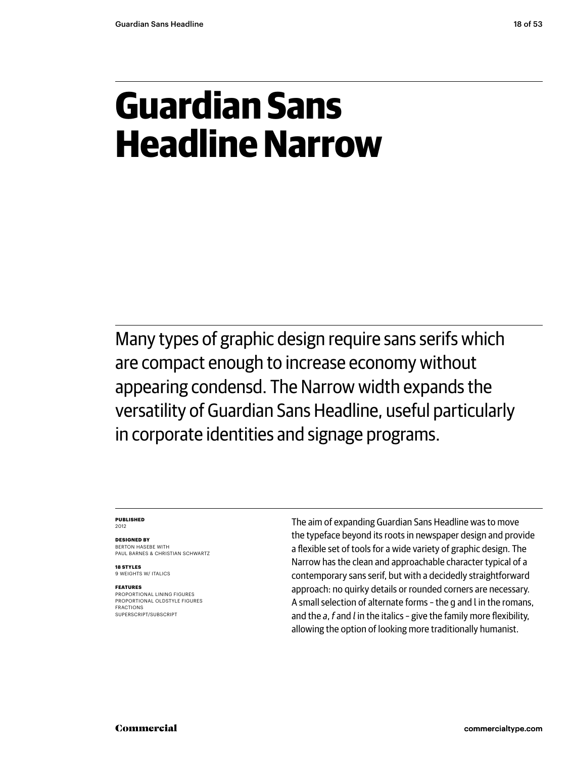# **Guardian Sans Headline Narrow**

Many types of graphic design require sans serifs which are compact enough to increase economy without appearing condensd. The Narrow width expands the versatility of Guardian Sans Headline, useful particularly in corporate identities and signage programs.

#### **Published** 2012

**Designed by** Berton Hasebe WITH Paul Barnes & Christian Schwartz

**18 styles** 9 WEIGHTS W/ ITALICS

### **Features**

proportional lining figures proportional oldstyle figures fractions superscript/subscript

The aim of expanding Guardian Sans Headline was to move the typeface beyond its roots in newspaper design and provide a flexible set of tools for a wide variety of graphic design. The Narrow has the clean and approachable character typical of a contemporary sans serif, but with a decidedly straightforward approach: no quirky details or rounded corners are necessary. A small selection of alternate forms – the g and l in the romans, and the *a*, *f* and *l* in the italics – give the family more flexibility, allowing the option of looking more traditionally humanist.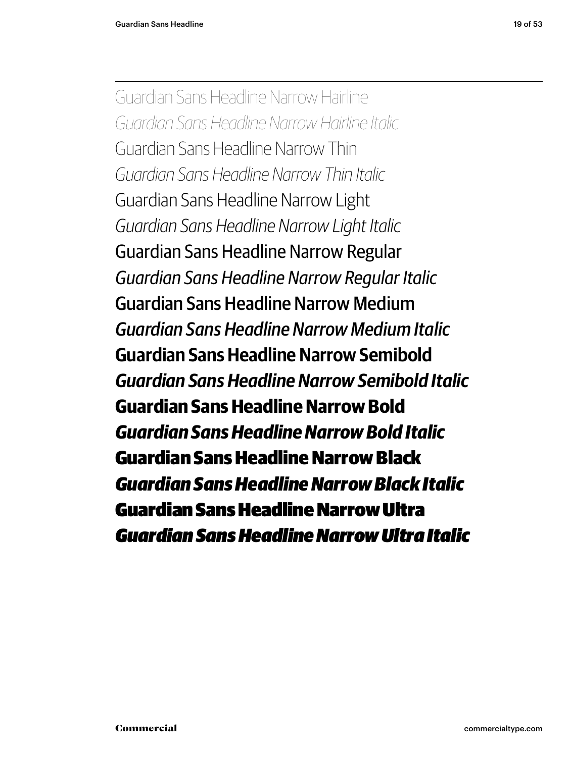Guardian Sans Headline Narrow Hairline *Guardian Sans Headline Narrow Hairline Italic* Guardian Sans Headline Narrow Thin *Guardian Sans Headline Narrow Thin Italic* Guardian Sans Headline Narrow Light *Guardian Sans Headline Narrow Light Italic* Guardian Sans Headline Narrow Regular *Guardian Sans Headline Narrow Regular Italic* Guardian Sans Headline Narrow Medium *Guardian Sans Headline Narrow Medium Italic* **Guardian Sans Headline Narrow Semibold** *Guardian Sans Headline Narrow Semibold Italic* **Guardian Sans Headline Narrow Bold** *Guardian Sans Headline Narrow Bold Italic* Guardian Sans Headline Narrow Black *Guardian Sans Headline Narrow Black Italic* Guardian Sans Headline Narrow Ultra *Guardian Sans Headline Narrow Ultra Italic*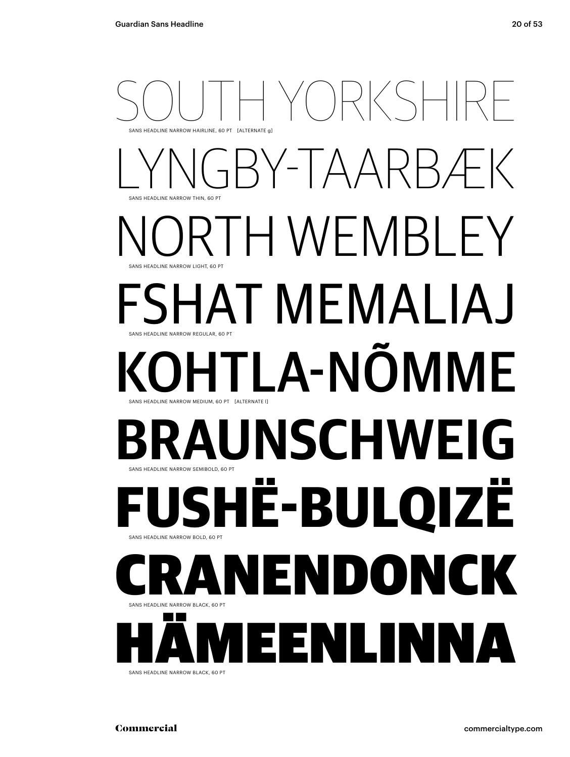## SOUTH YORKSHIRE sans Headline narrow HAIRLINE, 60 pt [alternate g] Y-TAARBÆK sans Headline narrow THIN, 60 pt H WEMBL sans Headline narrow LIGHT, 60 pt Fshat Memaliaj sans Headline narrow REGULAR, 60 pt LA-NÕMME sans Headline narrow MEDIUM, 60 pt [alternate l] UNSCHWEI G sans Headline narrow SEMIBOLD, 60 pt **Fushë-Bulqizë** SANS HEADLINE NARROW BOLD, 60 PT CRANENDONCK sans Headline narrow BLACK, 60 pt **Harry American Property Avenue** ÄMEENLINNA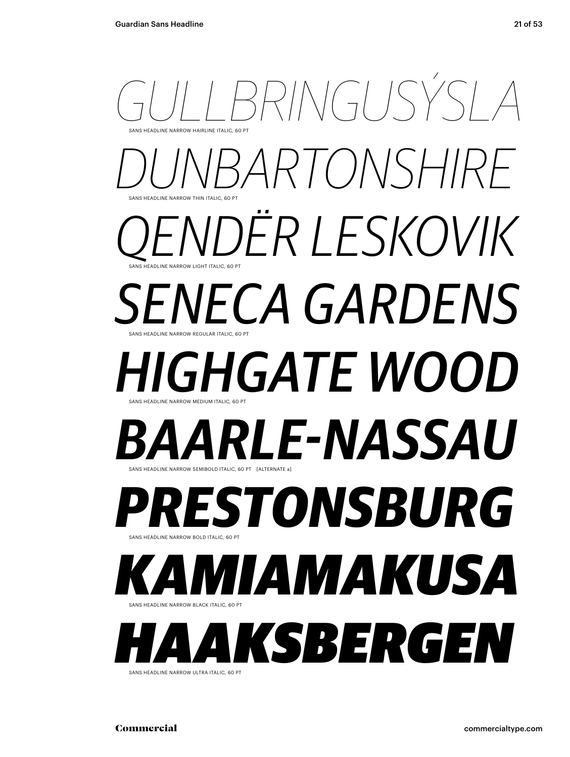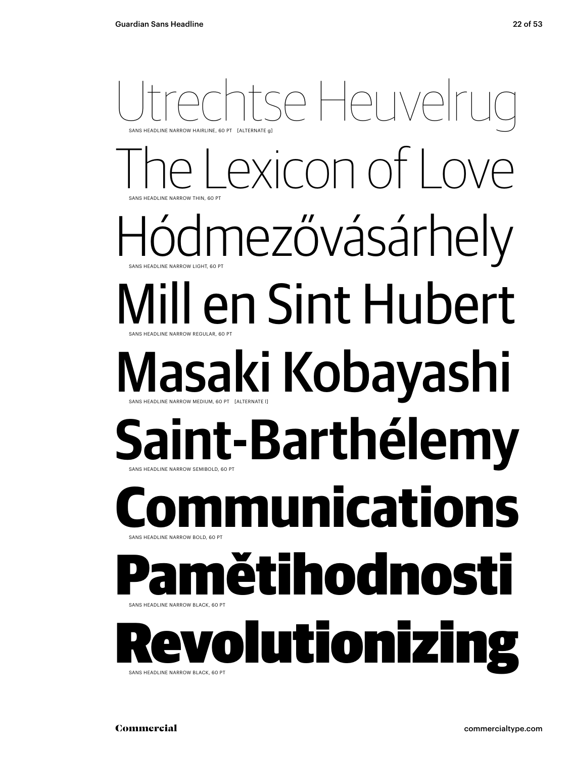## Itse Heuvel sans Headline narrow THIN, 60 pt SANS HEADLINE NARROW HAIRLINE, 60 PT [ALTERNATE g] exicon of Love Hódmezővásárhely sans Headline narrow REGULAR, 60 pt sans Headline narrow LIGHT, 60 pt Mill en Sint Hubert Masaki Kobayashi sans Headline narrow SEMIBOLD, 60 pt sans Headline narrow MEDIUM, 60 pt [alternate l] int-Barthélemy **Runications** sans Headline narrow BLACK, 60 pt sans Headline narrow BOLD, 60 pt ětihodnosti RANS HEADLINE NARR plutionizi SANS HEADLINE NARROW BLACK, 60 PT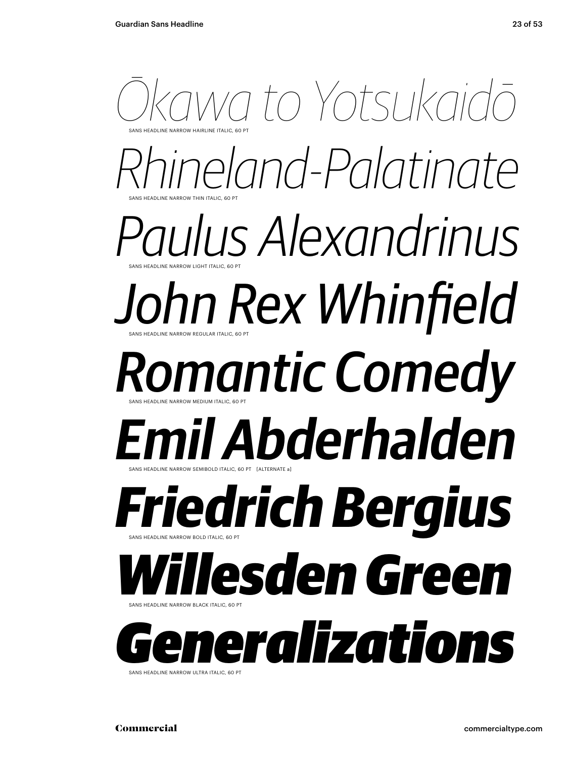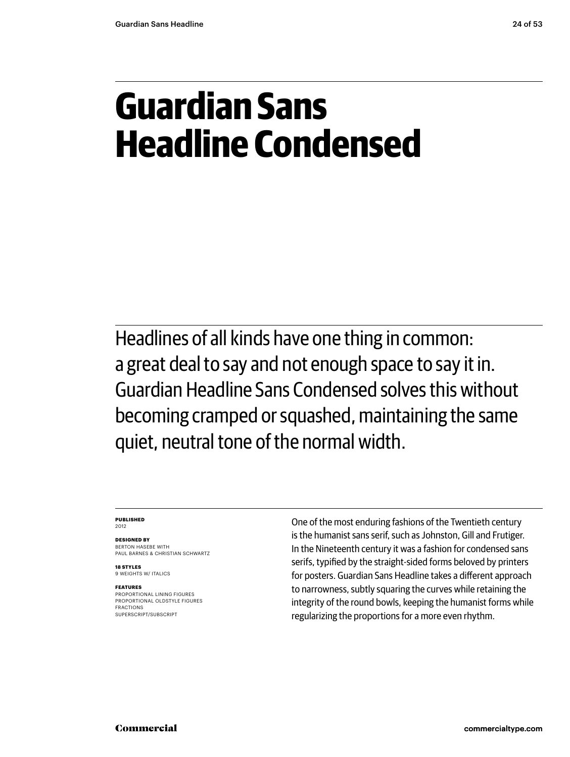# **Guardian Sans Headline Condensed**

Headlines of all kinds have one thing in common: a great deal to say and not enough space to say it in. Guardian Headline Sans Condensed solves this without becoming cramped or squashed, maintaining the same quiet, neutral tone of the normal width.

#### **Published** 2012

**Designed by** BERTON HASEBE WITH Paul Barnes & Christian Schwartz

**18 styles** 9 WEIGHTS W/ ITALICS

### **Features**

proportional lining figures proportional oldstyle figures fractions superscript/subscript

One of the most enduring fashions of the Twentieth century is the humanist sans serif, such as Johnston, Gill and Frutiger. In the Nineteenth century it was a fashion for condensed sans serifs, typified by the straight-sided forms beloved by printers for posters. Guardian Sans Headline takes a different approach to narrowness, subtly squaring the curves while retaining the integrity of the round bowls, keeping the humanist forms while regularizing the proportions for a more even rhythm.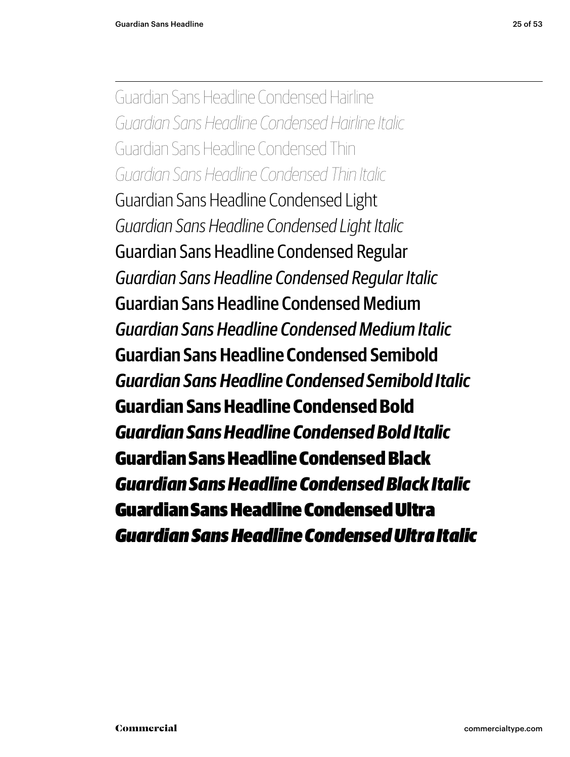Guardian Sans Headline Condensed Hairline *Guardian Sans Headline Condensed Hairline Italic* Guardian Sans Headline Condensed Thin *Guardian Sans Headline Condensed Thin Italic* Guardian Sans Headline Condensed Light *Guardian Sans Headline Condensed Light Italic* Guardian Sans Headline Condensed Regular *Guardian Sans Headline Condensed Regular Italic* Guardian Sans Headline Condensed Medium *Guardian Sans Headline Condensed Medium Italic* **Guardian Sans Headline Condensed Semibold** *Guardian Sans Headline Condensed Semibold Italic* **Guardian Sans Headline Condensed Bold** *Guardian Sans Headline Condensed Bold Italic* Guardian Sans Headline Condensed Black *Guardian Sans Headline Condensed Black Italic* Guardian Sans Headline Condensed Ultra *Guardian Sans Headline Condensed Ultra Italic*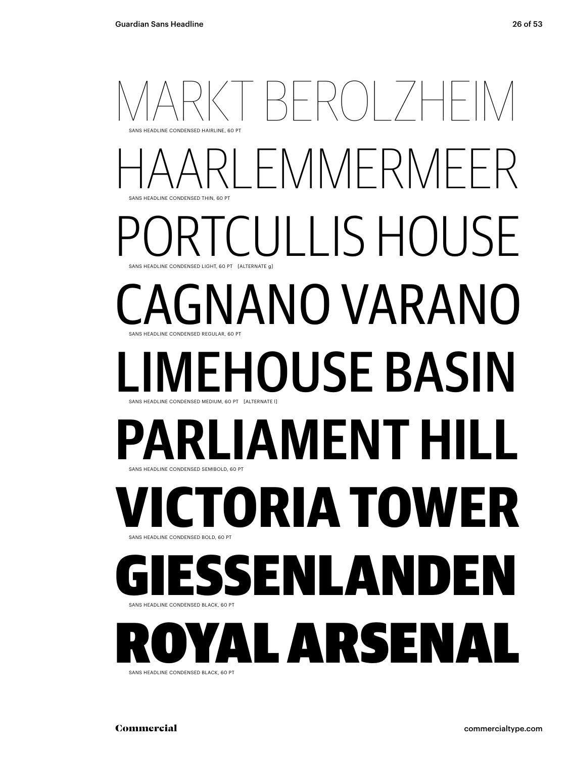## $|\negthinspace \rangle$   $|\negthinspace \rangle$   $|\negthinspace \rangle$   $|\negthinspace \rangle$   $|\negthinspace \rangle$ sans Headline condensed THIN, 60 pt sans Headline condensed HAIRLINE, 60 pt FMMFRM ULLIS HOUSE sans Headline condensed REGULAR, 60 pt SANS HEADLINE CONDENSED LIGHT, 60 PT [ALTERNATE g] **GNANO VARANO** EHOUSE BASIN sans Headline condensed SEMIBOLD, 60 pt sans Headline condensed MEDIUM, 60 pt [alternate l] **PAMENT ORIA TOWER** sans Headline condensed BLACK, 60 pt sans Headline condensed BOLD, 60 pt SENLANDE SANS HEADLINE **YAL** Arsenal

SANS HEADLINE CONDENSED BLACK 60 PT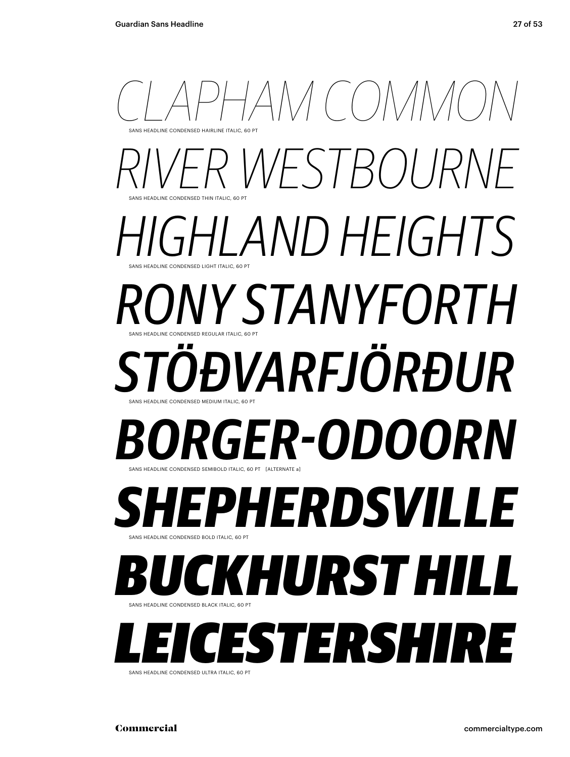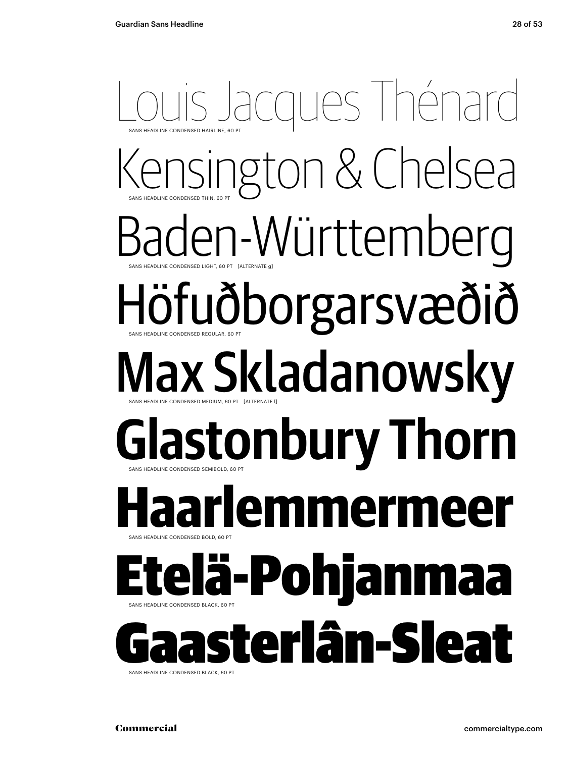# Louis Jacques Thénard sans Headline condensed THIN, 60 pt sans Headline condensed HAIRLINE, 60 pt Kensington & Chelsea aden-Württemberg sans Headline condensed REGULAR, 60 pt sans Headline condensed LIGHT, 60 pt [alternate g] Höfuðborgarsvæðið Max Skladanowsky sans Headline condensed SEMIBOLD, 60 pt sans Headline condensed MEDIUM, 60 pt [alternate l] **Glastonbury Thorn Haarlemmermeer** sans Headline condensed BLACK, 60 pt sans Headline condensed BOLD, 60 pt Etelä-Pohjanmaa Gaasterlân-Sleat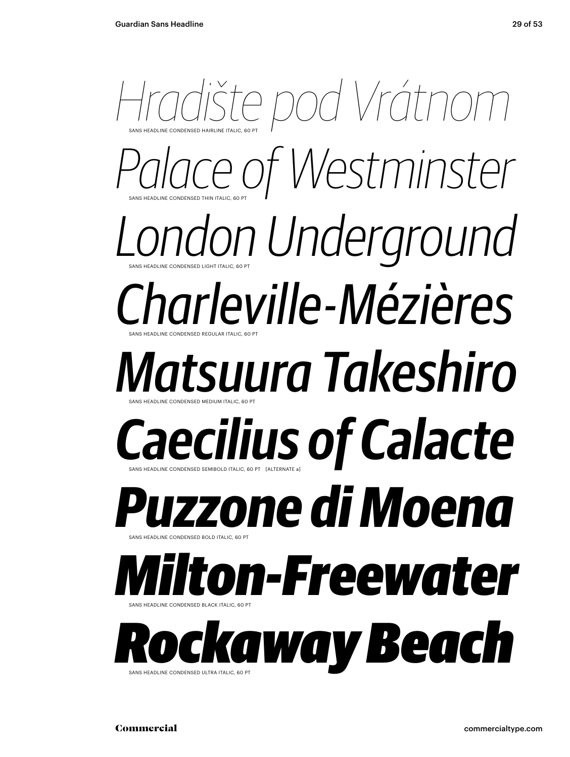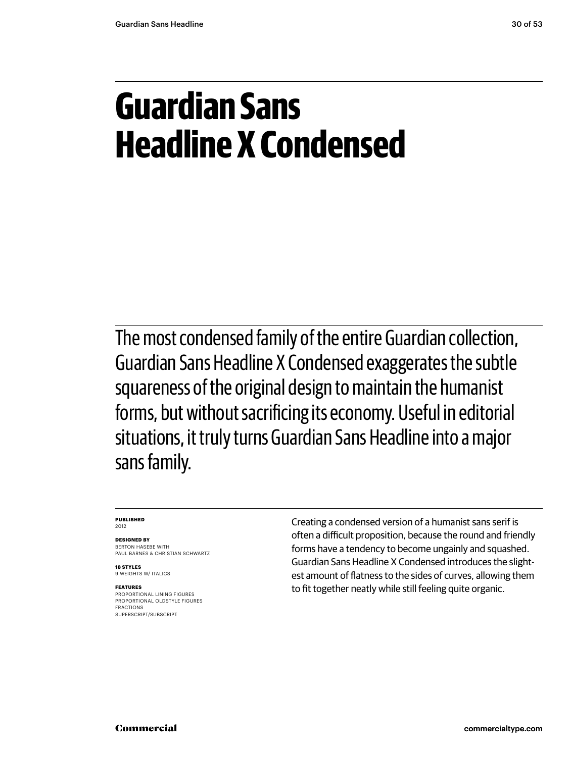# **Guardian Sans Headline X Condensed**

The most condensed family of the entire Guardian collection, Guardian Sans Headline X Condensed exaggerates the subtle squareness of the original design to maintain the humanist forms, but without sacrificing its economy. Useful in editorial situations, it truly turns Guardian Sans Headline into a major sans family.

#### **Published** 2012

**Designed by**

BERTON HASEBE WITH Paul Barnes & Christian Schwartz

**18 styles** 9 WEIGHTS W/ ITALICS

### **Features**

proportional lining figures proportional oldstyle figures fractions superscript/subscript

Creating a condensed version of a humanist sans serif is often a difficult proposition, because the round and friendly forms have a tendency to become ungainly and squashed. Guardian Sans Headline X Condensed introduces the slightest amount of flatness to the sides of curves, allowing them to fit together neatly while still feeling quite organic.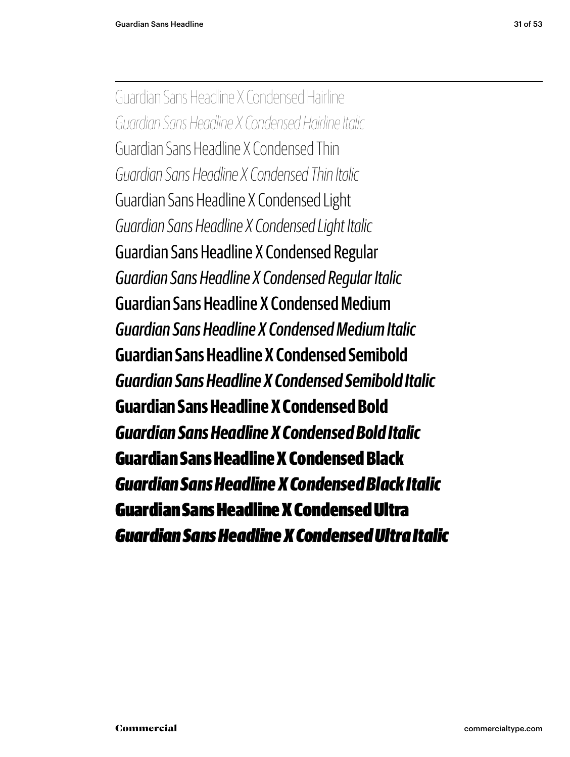Guardian Sans Headline X Condensed Hairline *Guardian Sans Headline X Condensed Hairline Italic* Guardian Sans Headline X Condensed Thin *Guardian Sans Headline X Condensed Thin Italic* Guardian Sans Headline X Condensed Light *Guardian Sans Headline X Condensed Light Italic* Guardian Sans Headline X Condensed Regular *Guardian Sans Headline X Condensed Regular Italic* Guardian Sans Headline X Condensed Medium *Guardian Sans Headline X Condensed Medium Italic* **Guardian Sans Headline X Condensed Semibold** *Guardian Sans Headline X Condensed Semibold Italic* **Guardian Sans Headline X Condensed Bold** *Guardian Sans Headline X Condensed Bold Italic* Guardian Sans Headline X Condensed Black *Guardian Sans Headline X Condensed Black Italic* Guardian Sans Headline X Condensed Ultra *Guardian Sans Headline X Condensed Ultra Italic*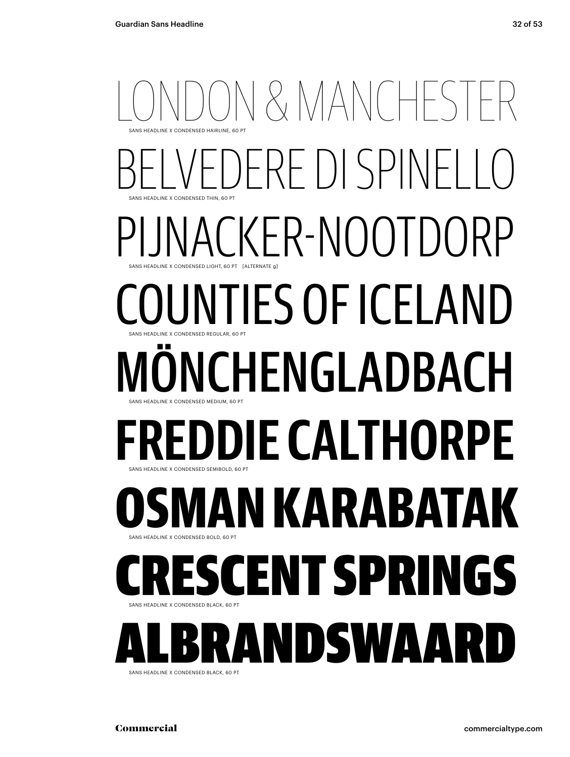## N & MANCHEST SANS HEADLINE Y CONDENSED HAIRLINE, 60 PT ERE DI SPINI sans Headline x condensed THIN, 60 pt CKER-NOOTDORP sans Headline x condensed LIGHT, 60 pt [alternate g] JUNTIES OF ICELAND sans Headline x condensed REGULAR, 60 pt ONCHENGLADBACH sans Headline x condensed MEDIUM, 60 pt **DDIE CALTHORPE** sans Headline x condensed SEMIBOLD, 60 pt **AN KARABATA** K sans Headline x condensed BOLD, 60 pt ENT SPRINGS sans Headline x condensed BLACK, 60 pt SANS HEADLINE X CONDENSED BLACK, 60 PT **ALBRANDSW**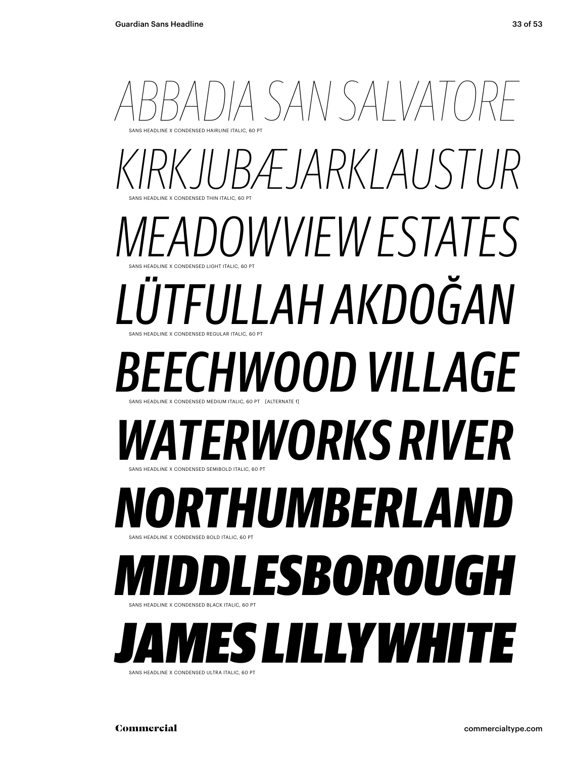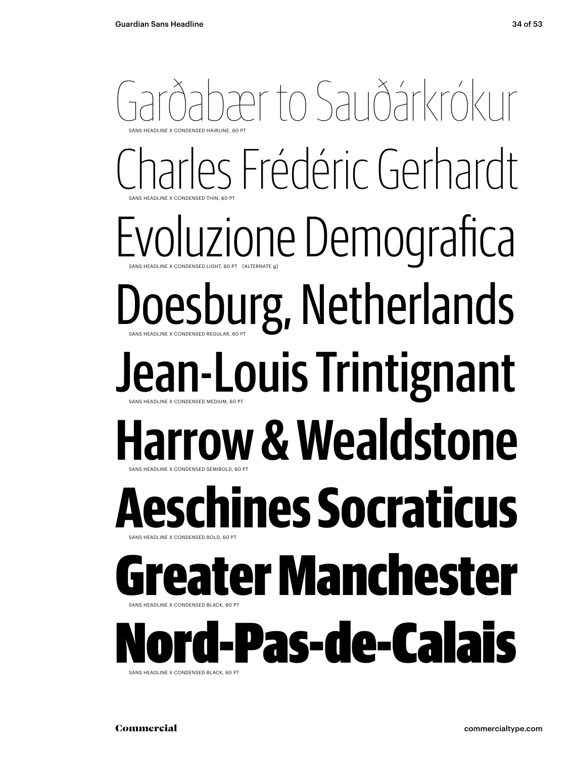## Garðabær to Sauðárkrókur sans Headline x condensed THIN, 60 pt sans Headline x condensed HAIRLINE, 60 pt Charles Frédéric Gerhardt Evoluzione Demografica Doesburg, Netherlands sans Headline x condensed LIGHT, 60 pt [alternate g] Jean-Louis Trintignant sans Headline x condensed SEMIBOLD, 60 pt sans Headline x condensed MEDIUM, 60 pt **Harrow & Wealdstone Aeschines Socraticus** sans Headline x condensed BLACK, 60 pt sans Headline x condensed BOLD, 60 pt eater Manchester SANS H ord-Pas-de-CalaisSANS HEADLINE X CONDENSED BLACK, 60 PT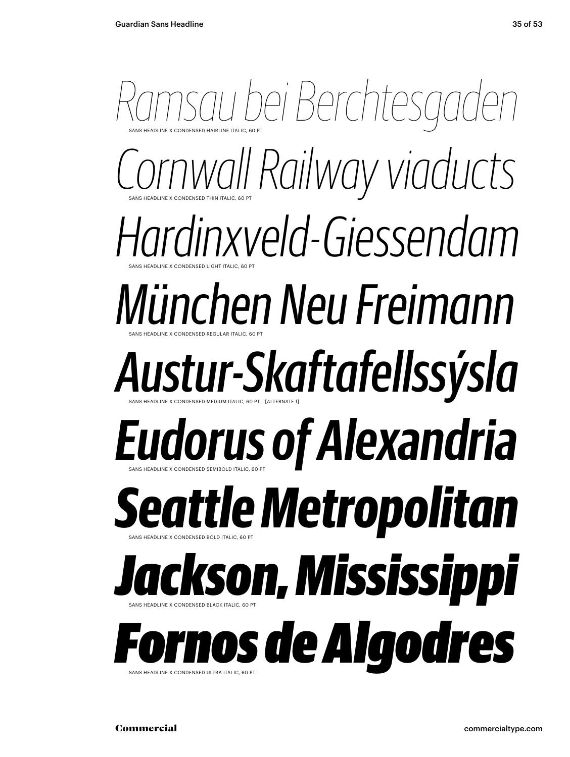